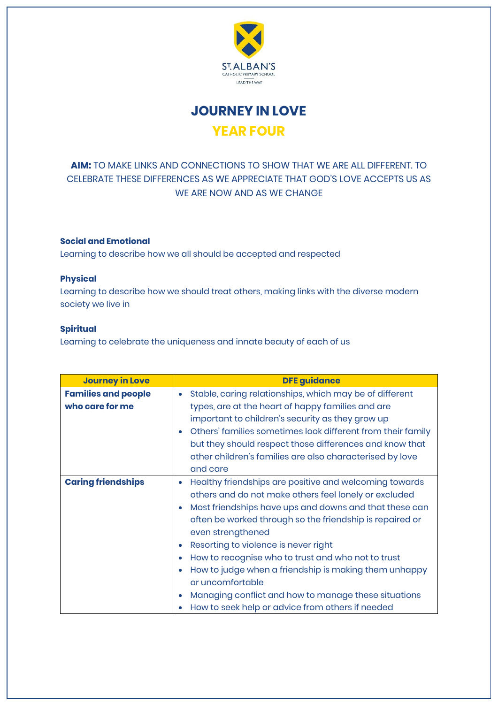

**JOURNEY IN LOVE YEAR FOUR**

## **AIM:** TO MAKE LINKS AND CONNECTIONS TO SHOW THAT WE ARE ALL DIFFERENT. TO CELEBRATE THESE DIFFERENCES AS WE APPRECIATE THAT GOD'S LOVE ACCEPTS US AS WE ARE NOW AND AS WE CHANGE

## **Social and Emotional**

Learning to describe how we all should be accepted and respected

## **Physical**

Learning to describe how we should treat others, making links with the diverse modern society we live in

## **Spiritual**

Learning to celebrate the uniqueness and innate beauty of each of us

| <b>Journey in Love</b>     | <b>DFE guidance</b>                                                  |
|----------------------------|----------------------------------------------------------------------|
| <b>Families and people</b> | Stable, caring relationships, which may be of different<br>$\bullet$ |
| who care for me            | types, are at the heart of happy families and are                    |
|                            | important to children's security as they grow up                     |
|                            | Others' families sometimes look different from their family          |
|                            | but they should respect those differences and know that              |
|                            | other children's families are also characterised by love             |
|                            | and care                                                             |
| <b>Caring friendships</b>  | Healthy friendships are positive and welcoming towards<br>$\bullet$  |
|                            | others and do not make others feel lonely or excluded                |
|                            | Most friendships have ups and downs and that these can<br>$\bullet$  |
|                            | often be worked through so the friendship is repaired or             |
|                            | even strengthened                                                    |
|                            | Resorting to violence is never right<br>$\bullet$                    |
|                            | How to recognise who to trust and who not to trust                   |
|                            | How to judge when a friendship is making them unhappy                |
|                            | or uncomfortable                                                     |
|                            | Managing conflict and how to manage these situations                 |
|                            | How to seek help or advice from others if needed                     |